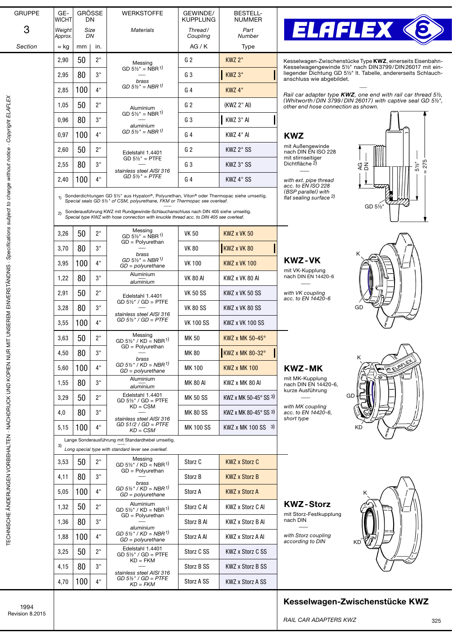| <b>GRUPPE</b>                                                                                | GE-<br><b>WICHT</b> | <b>GRÖSSE</b><br>DN. |          | <b>WERKSTOFFE</b>                                                                                                                                                              | GEWINDE/<br><b>KUPPLUNG</b> | <b>BESTELL-</b><br><b>NUMMER</b>          |                                                                                                                                                                                |
|----------------------------------------------------------------------------------------------|---------------------|----------------------|----------|--------------------------------------------------------------------------------------------------------------------------------------------------------------------------------|-----------------------------|-------------------------------------------|--------------------------------------------------------------------------------------------------------------------------------------------------------------------------------|
| 3                                                                                            | Weight              | Size                 |          | <b>Materials</b>                                                                                                                                                               | Thread/                     | Part                                      | <b>ELAFLEX &lt;</b>                                                                                                                                                            |
| Section                                                                                      | Approx.<br>≈ kg     | DN<br>mm             | in.      |                                                                                                                                                                                | Coupling<br>AG/K            | Number<br><b>Type</b>                     |                                                                                                                                                                                |
|                                                                                              | 2,90                | 50                   | 2"       | Messing                                                                                                                                                                        | G <sub>2</sub>              | <b>KWZ 2"</b>                             | Kesselwagen-Zwischenstücke Type KWZ, einerseits Eisenbahn-                                                                                                                     |
|                                                                                              | 2,95                | 80                   | 3"       | GD $5\frac{1}{2}$ " = NBR <sup>1)</sup>                                                                                                                                        | G <sub>3</sub>              | KWZ 3"                                    | Kesselwagengewinde 51/2" nach DIN3799/DIN26017 mit ein-<br>liegender Dichtung GD 5 <sup>1/2</sup> It. Tabelle, andererseits Schlauch-                                          |
|                                                                                              | 2,85                | 100                  | 4"       | brass<br>$GD 5\%$ " = NBR $\frac{1}{2}$                                                                                                                                        | G <sub>4</sub>              | <b>KWZ 4"</b>                             | anschluss wie abgebildet.                                                                                                                                                      |
|                                                                                              | 1,05                | 50                   | 2"       | Aluminium                                                                                                                                                                      | G <sub>2</sub>              | (KWZ 2" AI)                               | Rail car adapter type $KWZ$ , one end with rail car thread $5\frac{1}{2}$ ,<br>(Whitworth/DIN 3799/DIN 26017) with captive seal GD 5½",<br>other end hose connection as shown. |
|                                                                                              | 0,96                | 80                   | 3"       | $GD 5\frac{1}{2}$ = NBR <sup>1)</sup>                                                                                                                                          | G <sub>3</sub>              | KWZ 3" AI                                 |                                                                                                                                                                                |
|                                                                                              | 0,97                | 100                  | 4"       | aluminium<br>GD 5½" = NBR <sup>1)</sup>                                                                                                                                        | G 4                         | KWZ 4" AI                                 | <b>KWZ</b>                                                                                                                                                                     |
|                                                                                              | 2,60                | 50                   | 2"       |                                                                                                                                                                                | G <sub>2</sub>              | KWZ 2" SS                                 | mit Außengewinde<br>nach DIN EN ISO 228                                                                                                                                        |
|                                                                                              | 2,55                | 80                   | 3"       | Edelstahl 1.4401<br>$GD 5\frac{1}{2}$ = PTFE                                                                                                                                   | G3                          | KWZ 3" SS                                 | mit stirnseitiger<br>$\approx$ 275<br>Dichtfläche 2)<br>$5\frac{1}{2}$<br>ξŠ                                                                                                   |
|                                                                                              | 2,40                | 100                  | 4"       | stainless steel AISI 316<br>$GD 5\%$ " = PTFE                                                                                                                                  | G4                          | KWZ 4" SS                                 | with ext. pipe thread                                                                                                                                                          |
|                                                                                              |                     |                      |          |                                                                                                                                                                                |                             |                                           | acc. to EN ISO 228<br>(BSP parallel) with                                                                                                                                      |
|                                                                                              | 1)                  |                      |          | Sonderdichtungen GD 51/2" aus Hypalon®, Polyurethan, Viton® oder Thermopac siehe umseitig.<br>Special seals GD 51/2" of CSM, polyurethane, FKM or Thermopac see overleaf.      |                             |                                           | flat sealing surface <sup>2)</sup><br>GD 51/2                                                                                                                                  |
|                                                                                              | 2)                  |                      |          | Sonderausführung KWZ mit Rundgewinde-Schlauchanschluss nach DIN 405 siehe umseitig.<br>Special type KWZ with hose connection with knuckle thread acc. to DIN 405 see overleaf. |                             |                                           |                                                                                                                                                                                |
|                                                                                              | 3,26                | 50                   | 2"       | Messing<br>GD $5\frac{1}{2}$ " = NBR <sup>1)</sup>                                                                                                                             | <b>VK 50</b>                | <b>KWZ x VK 50</b>                        |                                                                                                                                                                                |
|                                                                                              | 3,70                | 80                   | 3"       | GD = Polyurethan<br>brass                                                                                                                                                      | <b>VK 80</b>                | KWZ x VK 80                               |                                                                                                                                                                                |
|                                                                                              | 3,95                | 100                  | 4"       | GD 5 <sup>1/2</sup> = NBR <sup>1)</sup><br>$GD = polyurethane$                                                                                                                 | VK 100                      | <b>KWZ x VK 100</b>                       | <b>KWZ-VK</b>                                                                                                                                                                  |
|                                                                                              | 1,22                | 80                   | 3"       | Aluminium<br>aluminium                                                                                                                                                         | <b>VK 80 AI</b>             | KWZ x VK 80 AI                            | mit VK-Kupplung<br>nach DIN EN 14420-6                                                                                                                                         |
|                                                                                              | 2,91                | 50                   | $2"$     | Edelstahl 1.4401                                                                                                                                                               | VK 50 SS                    | KWZ x VK 50 SS                            | with VK coupling                                                                                                                                                               |
|                                                                                              | 3,28                | 80                   | 3"       | $GD 5\frac{1}{2}$ / $GD = PTFE$                                                                                                                                                | <b>VK 80 SS</b>             | KWZ x VK 80 SS                            | acc. to EN 14420-6<br>GD                                                                                                                                                       |
| UNSEREM EINVERSTÄNDNIS - Specifications subject to change without notice - Copyright ELAFLEX | 3,55                | 100                  | 4"       | stainless steel AISI 316<br>$GD 5\frac{1}{2}$ " / $GD = PTFE$                                                                                                                  | <b>VK 100 SS</b>            | KWZ x VK 100 SS                           |                                                                                                                                                                                |
|                                                                                              | 3,63                | 50                   | יימ<br>L | Messing<br>GD $5\frac{1}{2}$ / KD = NBR <sup>1)</sup>                                                                                                                          | <b>MK 50</b>                | KWZ x MK 50-45°                           |                                                                                                                                                                                |
|                                                                                              | 4,50                | 80                   | 3"       | $GD = Polyurethan$                                                                                                                                                             | MK 80                       | <b>KWZ x MK 80-32°</b>                    |                                                                                                                                                                                |
| TECHNISCHE ÄNDERUNGEN VORBEHALTEN - NACHDRUCK UND KOPIEN NUR MIT                             | 5,60                | 100                  | 4"       | brass<br>GD 5½" / KD = NBR <sup>1)</sup><br>$GD = polyurethane$                                                                                                                | <b>MK100</b>                | <b>KWZ x MK 100</b>                       | OELAFLE<br><b>KWZ-MK</b>                                                                                                                                                       |
|                                                                                              | 1,55                | 80                   | 3"       | Aluminium<br>aluminium                                                                                                                                                         | <b>MK 80 AI</b>             | KWZ x MK 80 AI                            | mit MK-Kupplung<br>nach DIN EN 14420-6,                                                                                                                                        |
|                                                                                              | 3,29                | 50                   | 2"       | Edelstahl 1.4401<br>$GD 5\frac{1}{2}$ " / $GD = PTFE$                                                                                                                          | <b>MK 50 SS</b>             | KWZ x MK 50-45 $\degree$ SS 3)            | kurze Ausführung<br>GD                                                                                                                                                         |
|                                                                                              | 4,0                 | 80                   | 3"       | $KD = CSM$                                                                                                                                                                     | <b>MK 80 SS</b>             | KWZ x MK 80-45 $\degree$ SS <sup>3)</sup> | with MK coupling<br>acc. to EN 14420-6,                                                                                                                                        |
|                                                                                              | 5,15                | 100                  | 4"       | stainless steel AISI 316<br>$GD$ 51/2 / $GD$ = PTFE<br>$KD = CSM$                                                                                                              | <b>MK100SS</b>              | KWZ x MK 100 SS 3)                        | short type<br>ΚD                                                                                                                                                               |
|                                                                                              |                     |                      |          | Lange Sonderausführung mit Standardhebel umseitig.                                                                                                                             |                             |                                           |                                                                                                                                                                                |
|                                                                                              | 3)                  |                      |          | Long special type with standard lever see overleaf.<br>Messing                                                                                                                 |                             |                                           |                                                                                                                                                                                |
|                                                                                              | 3,53                | 50                   | 2"       | GD $5\frac{1}{2}$ / KD = NBR <sup>1)</sup><br>$GD = Polyurethan$                                                                                                               | Storz C                     | <b>KWZ x Storz C</b>                      |                                                                                                                                                                                |
|                                                                                              | 4,11                | 80                   | 3"       | brass<br>GD 5½" / KD = NBR <sup>1)</sup>                                                                                                                                       | Storz B                     | <b>KWZ x Storz B</b>                      |                                                                                                                                                                                |
|                                                                                              | 5,05                | 100                  | 4"       | $GD = polyurethane$                                                                                                                                                            | Storz A                     | <b>KWZ x Storz A</b>                      |                                                                                                                                                                                |
|                                                                                              | 1,32                | 50                   | 2"       | Aluminium<br>GD $5\frac{1}{2}$ " / KD = NBR <sup>1)</sup><br>$GD = Polyurethan$                                                                                                | Storz C Al                  | KWZ x Storz C AI                          | <b>KWZ-Storz</b><br>mit Storz-Festkupplung                                                                                                                                     |
|                                                                                              | 1,36                | 80                   | 3"       | aluminium                                                                                                                                                                      | Storz B Al                  | KWZ x Storz B AI                          | nach DIN                                                                                                                                                                       |
|                                                                                              | 1,88                | 100                  | 4"       | GD 5½" / KD = NBR <sup>1)</sup><br>$GD = polyurethane$                                                                                                                         | Storz A Al                  | KWZ x Storz A AI                          | with Storz coupling<br>according to DIN<br>ΚD                                                                                                                                  |
|                                                                                              | 3,25                | 50                   | 2"       | Edelstahl 1.4401<br>$GD 5\frac{1}{2}$ " / $GD = PTFE$<br>$KD = FKM$                                                                                                            | Storz C SS                  | KWZ x Storz C SS                          |                                                                                                                                                                                |
|                                                                                              | 4,15                | 80                   | 3"       | stainless steel AISI 316                                                                                                                                                       | Storz B SS                  | <b>KWZ x Storz B SS</b>                   |                                                                                                                                                                                |
|                                                                                              | 4,70                | 100                  | 4"       | $GD 5\frac{1}{2}$ " / $GD = PTFE$<br>$KD = FKM$                                                                                                                                | Storz A SS                  | KWZ x Storz A SS                          |                                                                                                                                                                                |

1994 Revision 8.2015

Kesselwagen-Zwischenstücke KWZ